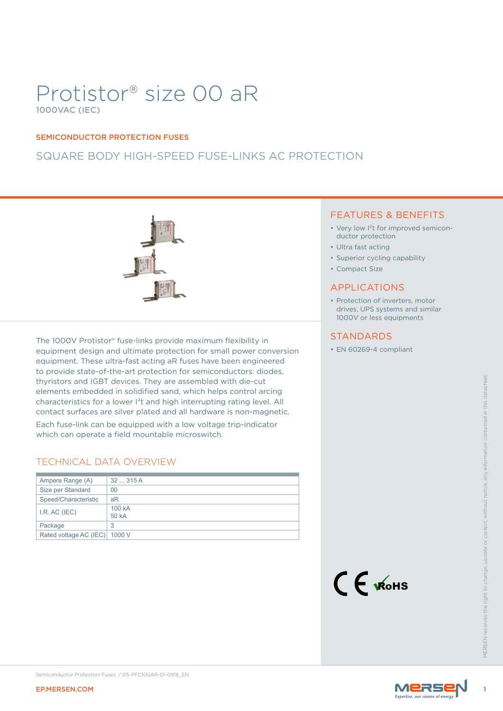# Protistor® size 00 aR 1000VAC (IEC)

#### SEMICONDUCTOR PROTECTION FUSES

# SQUARE BODY HIGH-SPEED FUSE-LINKS AC PROTECTION



The 1000V Protistor® fuse-links provide maximum flexibility in equipment design and ultimate protection for small power conversion equipment. These ultra-fast acting aR fuses have been engineered to provide state-of-the-art protection for semiconductors: diodes, thyristors and IGBT devices. They are assembled with die-cut elements embedded in solidified sand, which helps control arcing characteristics for a lower I²t and high interrupting rating level. All contact surfaces are silver plated and all hardware is non-magnetic.

### TECHNICAL DATA OVERVIEW

|                               | thyristors and IGBT devices. They are assembled with die-cut<br>elements embedded in solidified sand, which helps control arcing<br>characteristics for a lower l <sup>2</sup> t and high interrupting rating level. All<br>contact surfaces are silver plated and all hardware is non-magnetic.<br>Each fuse-link can be equipped with a low voltage trip-indicator<br>which can operate a field mountable microswitch.<br><b>TECHNICAL DATA OVERVIEW</b> |                         |                    |
|-------------------------------|------------------------------------------------------------------------------------------------------------------------------------------------------------------------------------------------------------------------------------------------------------------------------------------------------------------------------------------------------------------------------------------------------------------------------------------------------------|-------------------------|--------------------|
| Ampere Range (A)              | 32  315 A                                                                                                                                                                                                                                                                                                                                                                                                                                                  |                         |                    |
| Size per Standard             | 0 <sup>0</sup>                                                                                                                                                                                                                                                                                                                                                                                                                                             |                         |                    |
| Speed/Characteristic          | aR                                                                                                                                                                                                                                                                                                                                                                                                                                                         |                         |                    |
| I.R. AC (IEC)                 | 100 kA<br>50 kA                                                                                                                                                                                                                                                                                                                                                                                                                                            |                         |                    |
| Package                       | 3                                                                                                                                                                                                                                                                                                                                                                                                                                                          |                         |                    |
| Rated voltage AC (IEC) 1000 V |                                                                                                                                                                                                                                                                                                                                                                                                                                                            |                         |                    |
|                               |                                                                                                                                                                                                                                                                                                                                                                                                                                                            | $C \in \mathcal{K}$ ohs | <b>VIFRSEN res</b> |
| <b>EP.MERSEN.COM</b>          | Semiconductor Protection Fuses / DS-PFC100AR-01-0918_EN                                                                                                                                                                                                                                                                                                                                                                                                    | MERSE                   |                    |
|                               |                                                                                                                                                                                                                                                                                                                                                                                                                                                            |                         |                    |

### FEATURES & BENEFITS

- Very low I<sup>2</sup>t for improved semiconductor protection
- Ultra fast acting
- Superior cycling capability
- Compact Size

### APPLICATIONS

• Protection of inverters, motor drives, UPS systems and similar 1000V or less equipments

### **STANDARDS**

• EN 60269-4 compliant



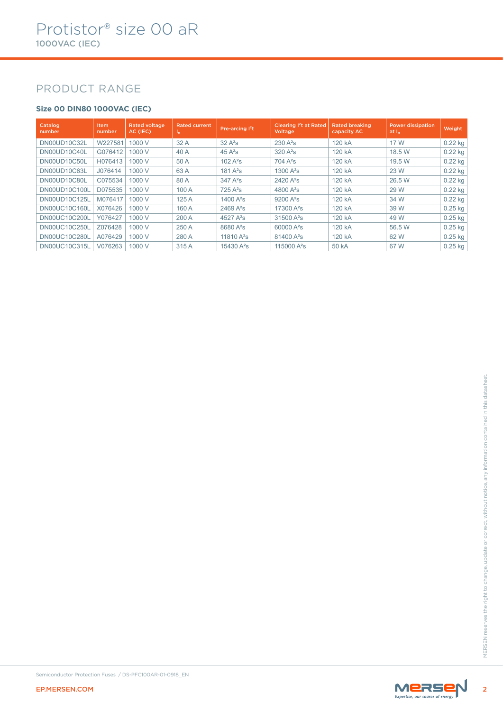# PRODUCT RANGE

### **Size 00 DIN80 1000VAC (IEC)**

| Catalog<br>number | <b>Item</b><br>number | <b>Rated voltage</b><br>AC (IEC) | <b>Rated current</b><br>-In- | Pre-arcing $12t$       | Clearing I <sup>2</sup> t at Rated<br>Voltage | <b>Rated breaking</b><br>capacity AC | <b>Power dissipation</b><br>at I <sub>n</sub> | Weight    |
|-------------------|-----------------------|----------------------------------|------------------------------|------------------------|-----------------------------------------------|--------------------------------------|-----------------------------------------------|-----------|
| DN00UD10C32L      | W227581               | 1000 V                           | 32 A                         | $32A^2s$               | $230A^2s$                                     | 120 kA                               | 17 W                                          | $0.22$ kg |
| DN00UD10C40L      | G076412               | 1000 V                           | 40 A                         | $45A^2s$               | $320A^2s$                                     | 120 kA                               | 18.5 W                                        | 0.22 kg   |
| DN00UD10C50L      | H076413               | 1000 V                           | 50 A                         | 102 $A^2S$             | $704A^2s$                                     | 120 kA                               | 19.5 W                                        | $0.22$ kg |
| DN00UD10C63L      | J076414               | 1000 V                           | 63 A                         | $181A^2s$              | 1300 $A^2S$                                   | 120 kA                               | 23 W                                          | $0.22$ kg |
| DN00UD10C80L      | C075534               | 1000 V                           | 80 A                         | $347A^2s$              | $2420A^2s$                                    | 120 kA                               | 26.5 W                                        | 0.22 kg   |
| DN00UD10C100L     | D075535               | 1000 V                           | 100 A                        | $725A^2s$              | 4800 $A^2S$                                   | 120 kA                               | 29 W                                          | $0.22$ kg |
| DN00UD10C125L     | M076417               | 1000 V                           | 125A                         | 1400 $A^2S$            | $9200 A^2s$                                   | 120 kA                               | 34 W                                          | $0.22$ kg |
| DN00UC10C160L     | X076426               | 1000 V                           | 160 A                        | $2469A^2s$             | 17300 A <sup>2</sup> s                        | 120 kA                               | 39 W                                          | $0.25$ kg |
| DN00UC10C200L     | Y076427               | 1000 V                           | 200 A                        | 4527 $A^2S$            | $31500A^2s$                                   | 120 kA                               | 49 W                                          | $0.25$ kg |
| DN00UC10C250L     | Z076428               | 1000 V                           | 250 A                        | 8680 A <sup>2</sup> s  | 60000 A <sup>2</sup> s                        | 120 kA                               | 56.5 W                                        | 0.25 kg   |
| DN00UC10C280L     | A076429               | 1000 V                           | 280 A                        | 11810 $A^2S$           | $81400A^2s$                                   | 120 kA                               | 62 W                                          | $0.25$ kg |
| DN00UC10C315L     | V076263               | 1000 V                           | 315 A                        | 15430 A <sup>2</sup> s | 115000 A <sup>2</sup> s                       | 50 kA                                | 67 W                                          | $0.25$ kg |



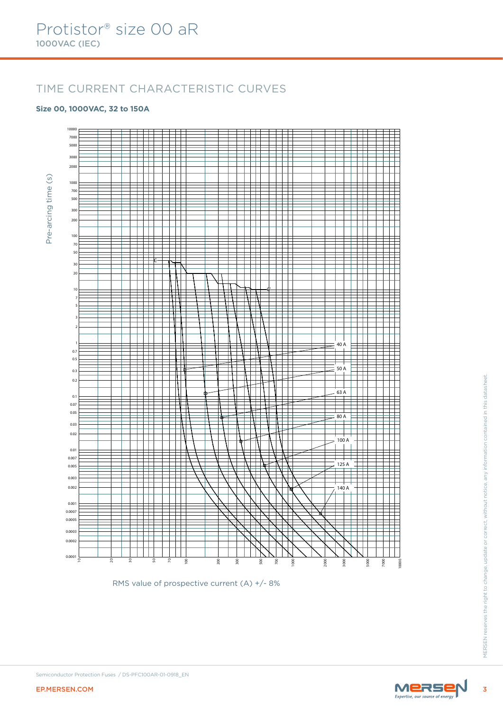# TIME CURRENT CHARACTERISTIC CURVES

#### **Size 00, 1000VAC, 32 to 150A**



RMS value of prospective current (A) +/- 8%

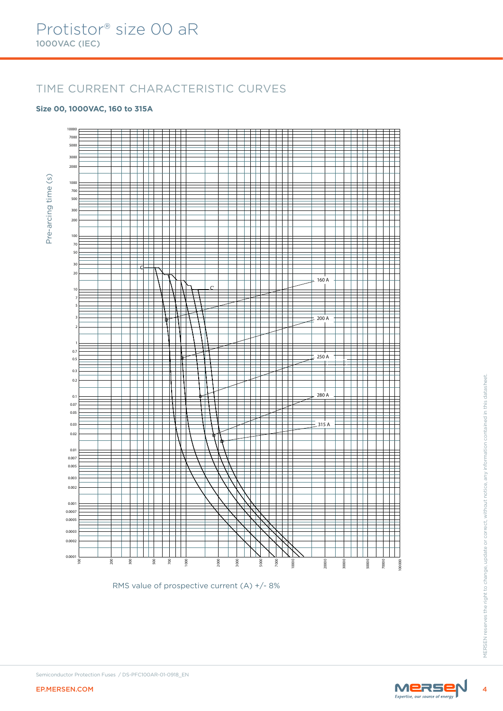# TIME CURRENT CHARACTERISTIC CURVES

#### **Size 00, 1000VAC, 160 to 315A**



RMS value of prospective current (A) +/- 8%

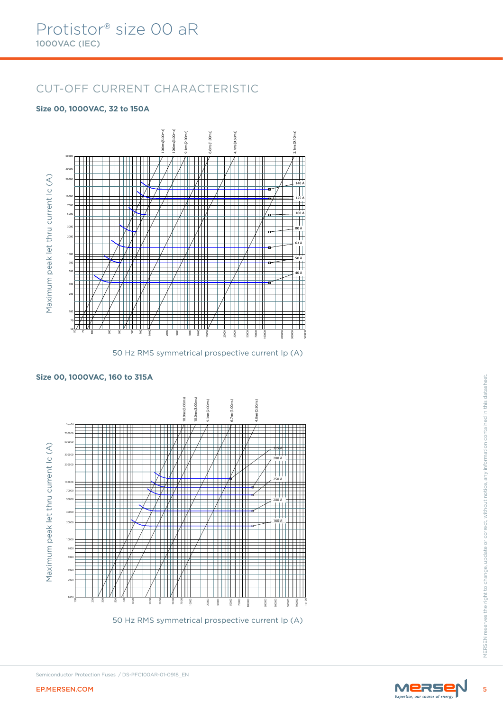# CUT-OFF CURRENT CHARACTERISTIC

#### **Size 00, 1000VAC, 32 to 150A**



50 Hz RMS symmetrical prospective current Ip (A)

#### **Size 00, 1000VAC, 160 to 315A**



50 Hz RMS symmetrical prospective current Ip (A)

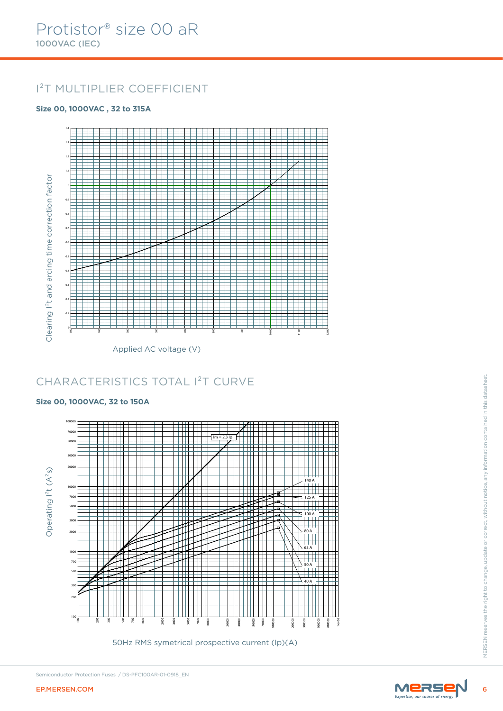# I²T MULTIPLIER COEFFICIENT

### **Size 00, 1000VAC , 32 to 315A**



# CHARACTERISTICS TOTAL I²T CURVE

#### **Size 00, 1000VAC, 32 to 150A**



50Hz RMS symetrical prospective current (Ip)(A)



Semiconductor Protection Fuses / DS-PFC100AR-01-0918\_EN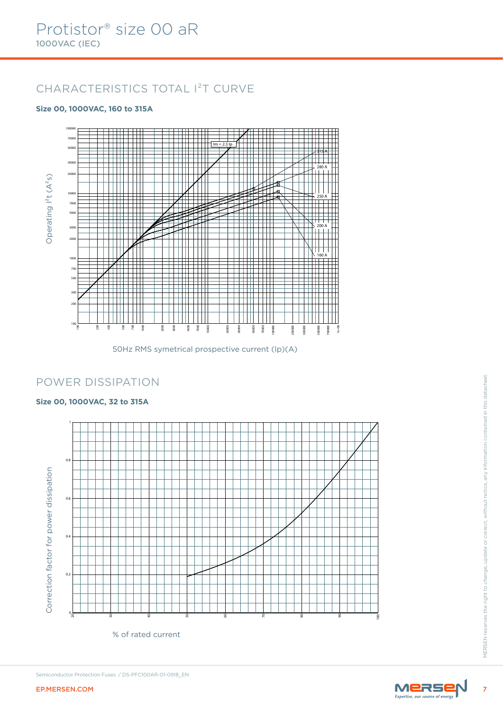# CHARACTERISTICS TOTAL I²T CURVE

### **Size 00, 1000VAC, 160 to 315A**



50Hz RMS symetrical prospective current (Ip)(A)

### POWER DISSIPATION

### **Size 00, 1000VAC, 32 to 315A**



Semiconductor Protection Fuses / DS-PFC100AR-01-0918\_EN

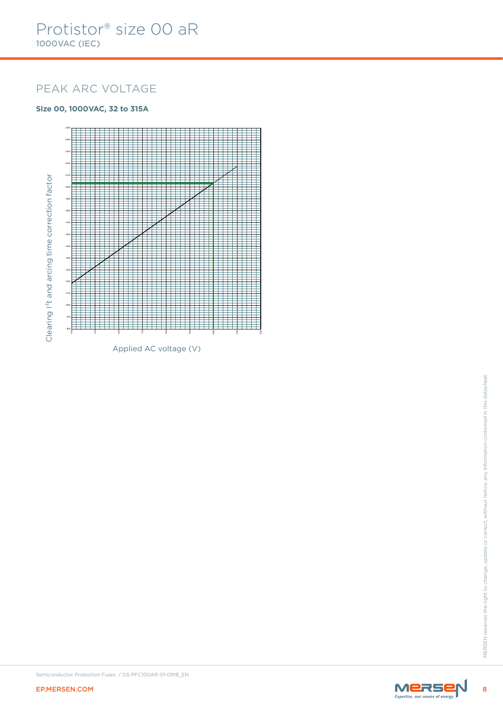# PEAK ARC VOLTAGE

### **Size 00, 1000VAC, 32 to 315A**